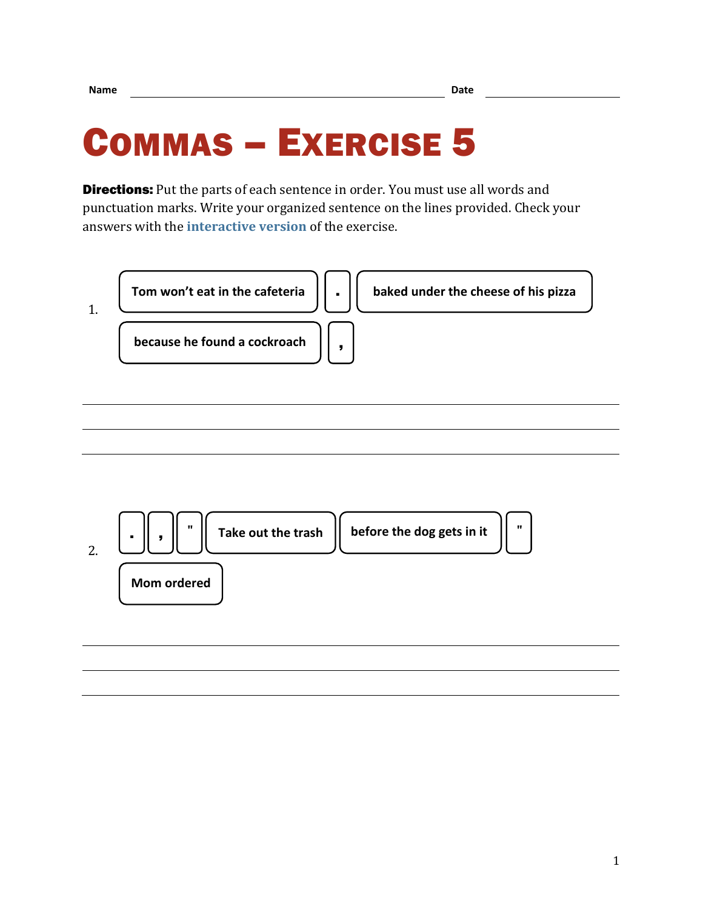## COMMAS – EXERCISE 5

**Directions:** Put the parts of each sentence in order. You must use all words and punctuation marks. Write your organized sentence on the lines provided. Check your answers with the **[interactive version](https://chompchomp.com/hotpotatoes/commas05a.htm)** of the exercise.



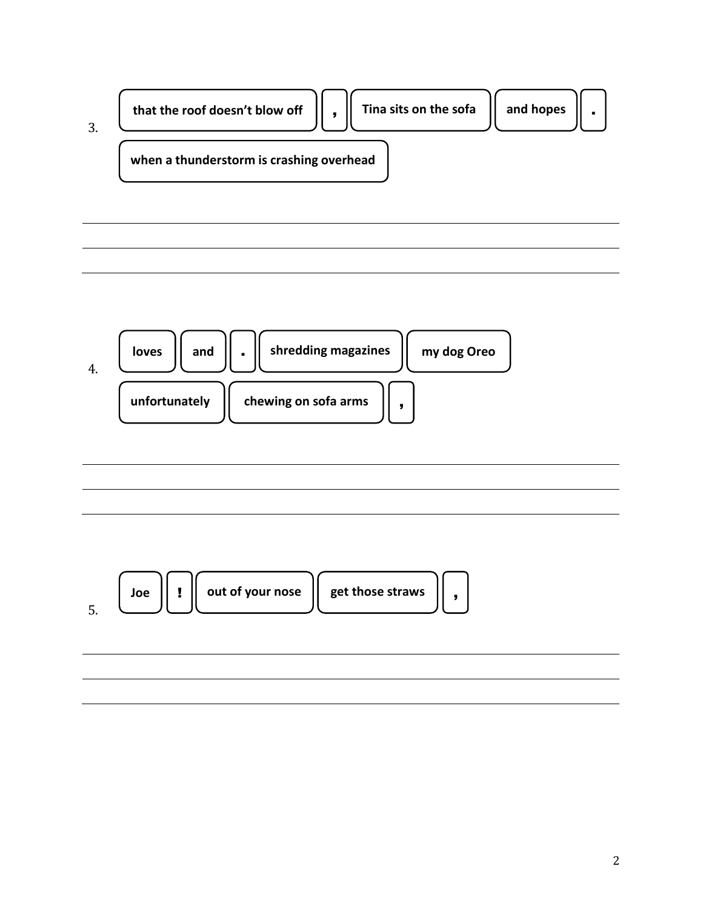



| ,我们也不会有什么?""我们的人,我们也不会不会不会。""我们的人,我们也不会不会不会不会。""我们的人,我们也不会不会不会不会。""我们的人,我们也不会不会不 |  |  |
|----------------------------------------------------------------------------------|--|--|
|                                                                                  |  |  |
|                                                                                  |  |  |
|                                                                                  |  |  |
|                                                                                  |  |  |
|                                                                                  |  |  |
|                                                                                  |  |  |
|                                                                                  |  |  |
|                                                                                  |  |  |
|                                                                                  |  |  |

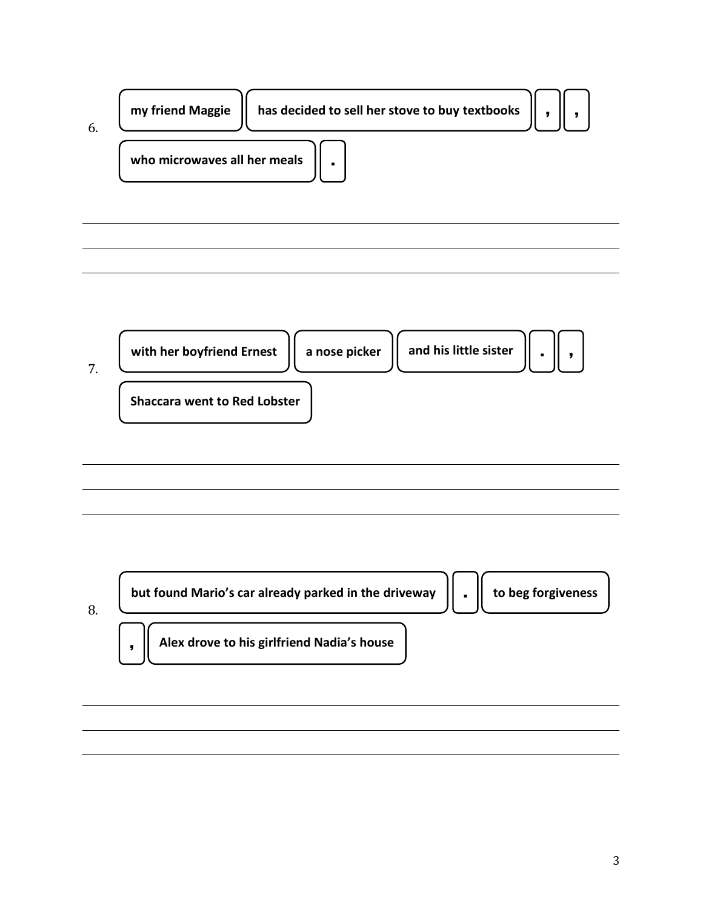



| but found Mario's car already parked in the driveway | to beg forgiveness |
|------------------------------------------------------|--------------------|
| Alex drove to his girlfriend Nadia's house           |                    |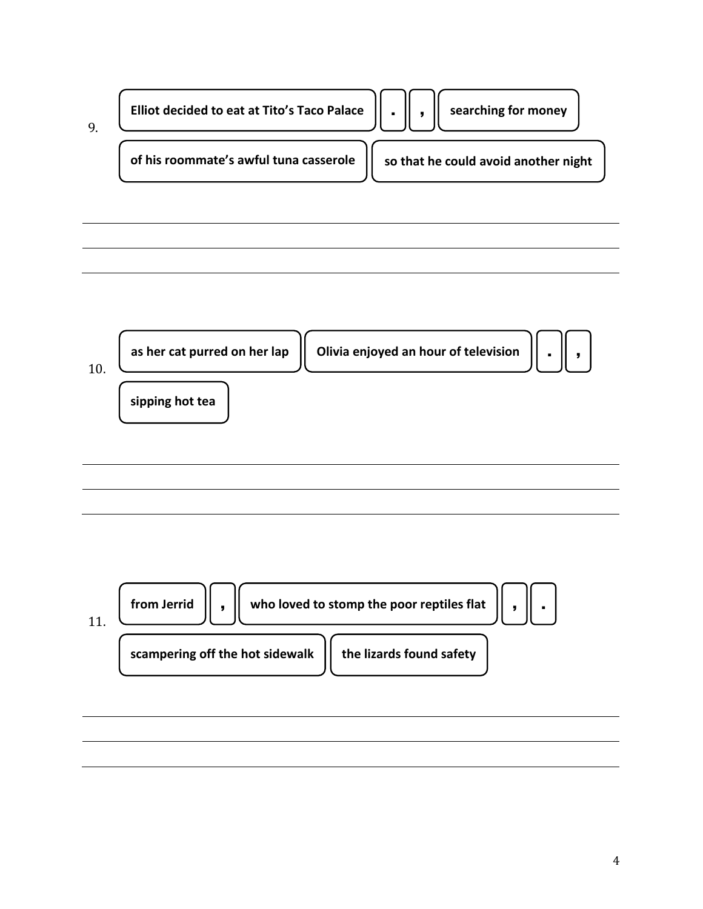

10. **sipping hot tea as her cat purred on her lap Olivia enjoyed an hour of television** . ,

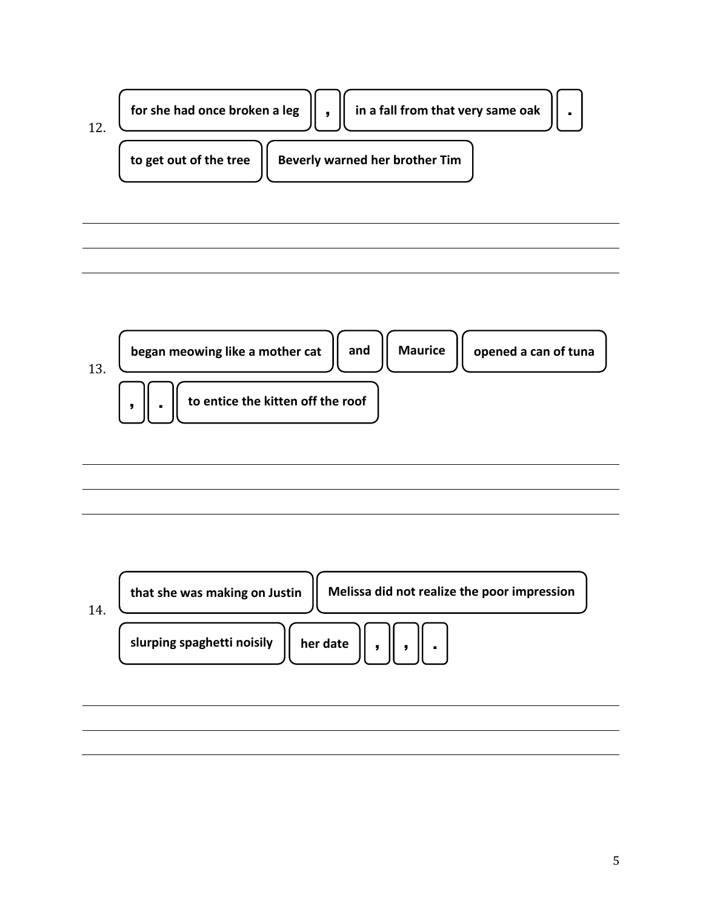| for she had once broken a leg |  | in a fall from that very same oak |  |
|-------------------------------|--|-----------------------------------|--|
| to get out of the tree        |  | Beverly warned her brother Tim    |  |



| 14 | Melissa did not realize the poor impression<br>that she was making on Justin |  |
|----|------------------------------------------------------------------------------|--|
|    | slurping spaghetti noisily<br>her date                                       |  |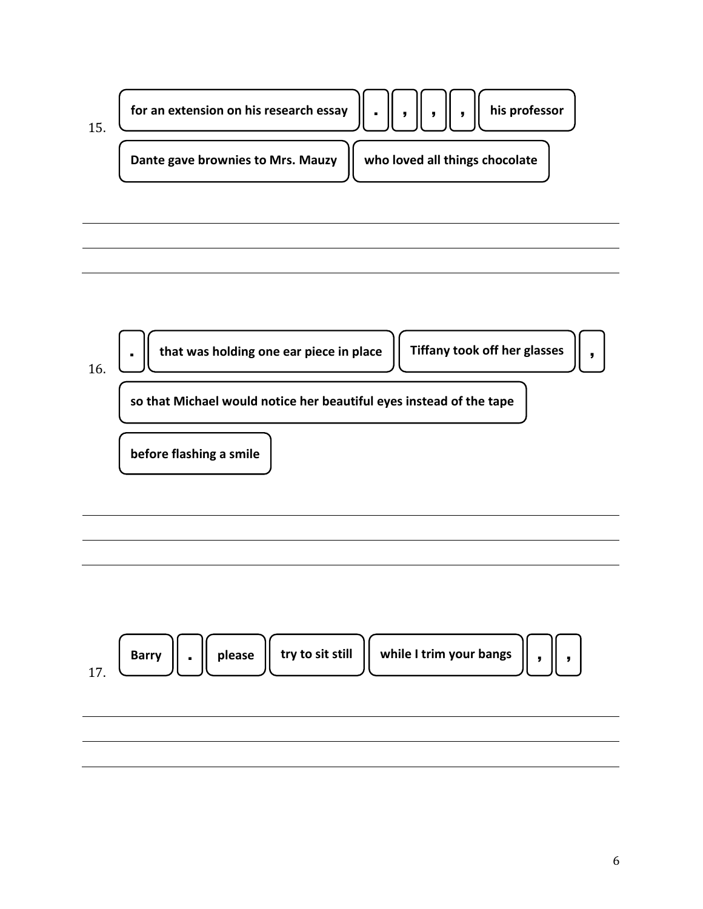